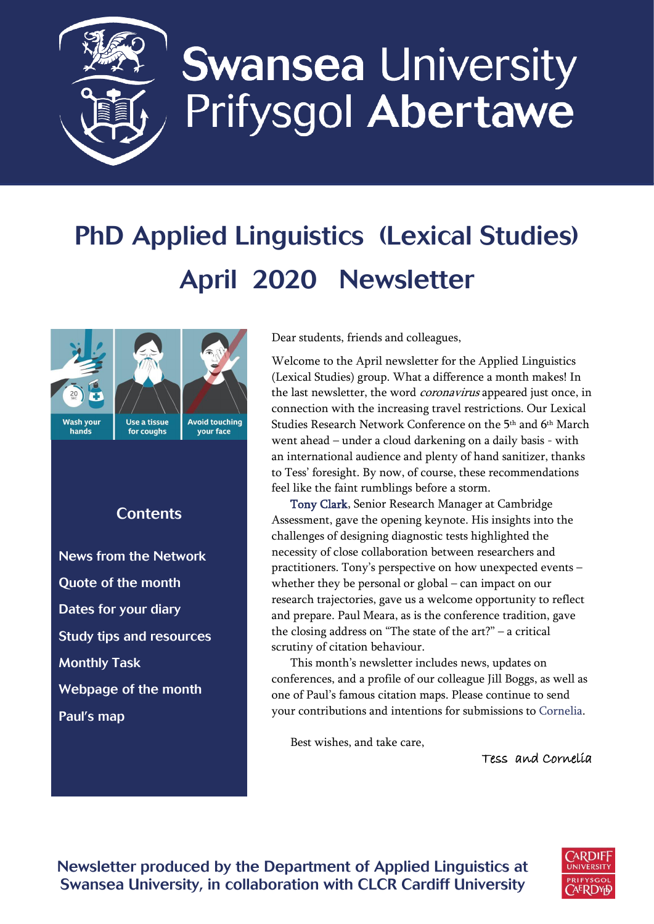

# **Swansea University** Prifysgol Abertawe

# PhD Applied Linguistics (Lexical Studies) April 2020 Newsletter



# **Contents**

[News from the Network](#page-1-0) [Quote of the month](#page-1-1) [Dates for your diary](#page-1-2) [Study tips and resources](#page-2-0) [Monthly Task](#page-3-0)  [Webpage of the month](#page-3-1) Paul's map

Dear students, friends and colleagues,

Welcome to the April newsletter for the Applied Linguistics (Lexical Studies) group. What a difference a month makes! In the last newsletter, the word *coronavirus* appeared just once, in connection with the increasing travel restrictions. Our Lexical Studies Research Network Conference on the 5<sup>th</sup> and 6<sup>th</sup> March went ahead – under a cloud darkening on a daily basis - with an international audience and plenty of hand sanitizer, thanks to Tess' foresight. By now, of course, these recommendations feel like the faint rumblings before a storm.

[Tony Clark,](https://www.cambridgeenglish.org/research-and-validation/meet-the-team/tony-clark/) Senior Research Manager at Cambridge Assessment, gave the opening keynote. His insights into the challenges of designing diagnostic tests highlighted the necessity of close collaboration between researchers and practitioners. Tony's perspective on how unexpected events – whether they be personal or global – can impact on our research trajectories, gave us a welcome opportunity to reflect and prepare. Paul Meara, as is the conference tradition, gave the closing address on "The state of the art?" – a critical scrutiny of citation behaviour.

This month's newsletter includes news, updates on conferences, and a profile of our colleague Jill Boggs, as well as one of Paul's famous citation maps. Please continue to send your contributions and intentions for submissions to [Cornelia.](mailto:c.tschichold@swansea.ac.uk)

Best wishes, and take care,

Tess and Cornelia



Newsletter produced by the Department of Applied Linguistics at Swansea University, in collaboration with CLCR Cardiff University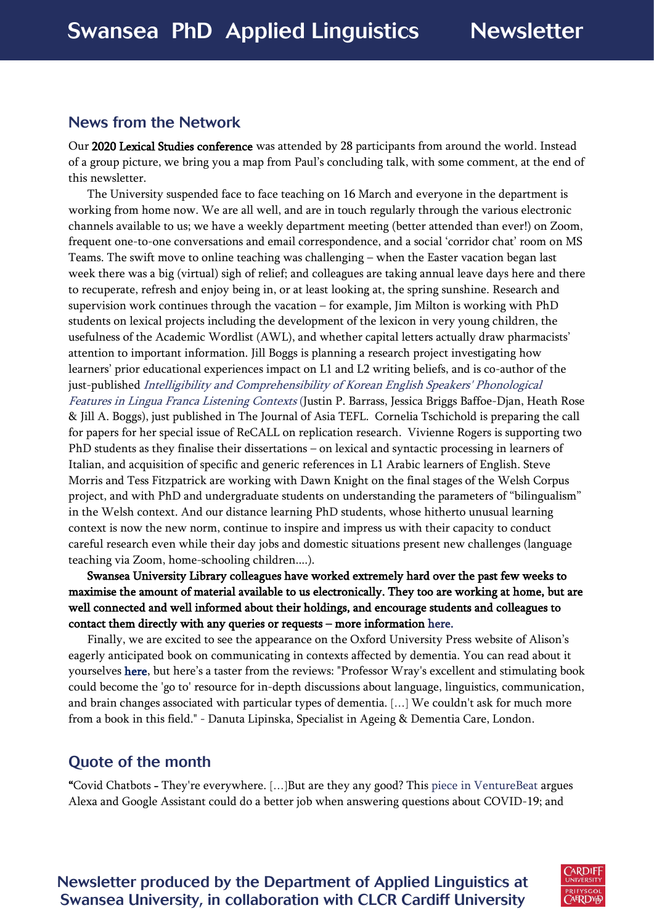#### <span id="page-1-0"></span>News from the Network

Our 2020 Lexical Studies conference was attended by 28 participants from around the world. Instead of a group picture, we bring you a map from Paul's concluding talk, with some comment, at the end of this newsletter.

The University suspended face to face teaching on 16 March and everyone in the department is working from home now. We are all well, and are in touch regularly through the various electronic channels available to us; we have a weekly department meeting (better attended than ever!) on Zoom, frequent one-to-one conversations and email correspondence, and a social 'corridor chat' room on MS Teams. The swift move to online teaching was challenging – when the Easter vacation began last week there was a big (virtual) sigh of relief; and colleagues are taking annual leave days here and there to recuperate, refresh and enjoy being in, or at least looking at, the spring sunshine. Research and supervision work continues through the vacation – for example, Jim Milton is working with PhD students on lexical projects including the development of the lexicon in very young children, the usefulness of the Academic Wordlist (AWL), and whether capital letters actually draw pharmacists' attention to important information. Jill Boggs is planning a research project investigating how learners' prior educational experiences impact on L1 and L2 writing beliefs, and is co-author of the just-published [Intelligibility and Comprehensibility of Korean English Speakers' Phonological](http://journal.asiatefl.org/main/main.php?main=1&sub=2&submode=3&PageMode=JournalView&inx_journals=63&inx_contents=781&s_title=Intelligibility_and_Comprehensibility_of_Korean_English_Speakers_Phonological_Features_in_Lingua_Franca_Listening_Contexts)  [Features in Lingua Franca Listening Contexts](http://journal.asiatefl.org/main/main.php?main=1&sub=2&submode=3&PageMode=JournalView&inx_journals=63&inx_contents=781&s_title=Intelligibility_and_Comprehensibility_of_Korean_English_Speakers_Phonological_Features_in_Lingua_Franca_Listening_Contexts) (Justin P. Barrass, Jessica Briggs Baffoe-Djan, Heath Rose & Jill A. Boggs), just published in The Journal of Asia TEFL. Cornelia Tschichold is preparing the call for papers for her special issue of ReCALL on replication research. Vivienne Rogers is supporting two PhD students as they finalise their dissertations – on lexical and syntactic processing in learners of Italian, and acquisition of specific and generic references in L1 Arabic learners of English. Steve Morris and Tess Fitzpatrick are working with Dawn Knight on the final stages of the Welsh Corpus project, and with PhD and undergraduate students on understanding the parameters of "bilingualism" in the Welsh context. And our distance learning PhD students, whose hitherto unusual learning context is now the new norm, continue to inspire and impress us with their capacity to conduct careful research even while their day jobs and domestic situations present new challenges (language teaching via Zoom, home-schooling children....).

Swansea University Library colleagues have worked extremely hard over the past few weeks to maximise the amount of material available to us electronically. They too are working at home, but are well connected and well informed about their holdings, and encourage students and colleagues to contact them directly with any queries or requests – more information [here.](https://www.swansea.ac.uk/library/)

Finally, we are excited to see the appearance on the Oxford University Press website of Alison's eagerly anticipated book on communicating in contexts affected by dementia. You can read about it yourselves [here](https://global.oup.com/academic/product/the-dynamics-of-dementia-communication-9780190917807?cc=ru&lang=en&), but here's a taster from the reviews: "Professor Wray's excellent and stimulating book could become the 'go to' resource for in-depth discussions about language, linguistics, communication, and brain changes associated with particular types of dementia. […] We couldn't ask for much more from a book in this field." - Danuta Lipinska, Specialist in Ageing & Dementia Care, London.

# <span id="page-1-1"></span>Quote of the month

<span id="page-1-2"></span>"Covid Chatbots - They're everywhere. […]But are they any good? Thi[s piece in VentureBeat](https://venturebeat.com/2020/03/21/how-alexa-and-google-assistant-can-do-a-better-job-talking-about-coronavirus/) argues Alexa and Google Assistant could do a better job when answering questions about COVID-19; and

Newsletter produced by the Department of Applied Linguistics at Swansea University, in collaboration with CLCR Cardiff University

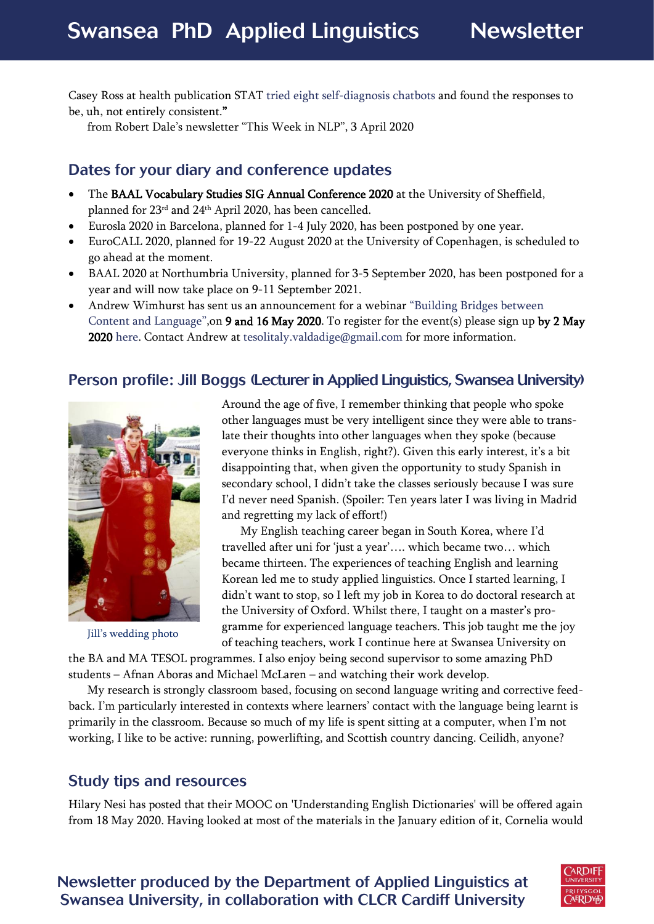Casey Ross at health publication STAT [tried eight self-diagnosis chatbots](https://www.statnews.com/2020/03/23/coronavirus-i-asked-eight-chatbots-whether-i-had-covid-19/) and found the responses to be, uh, not entirely consistent."

from Robert Dale's newsletter "This Week in NLP", 3 April 2020

#### Dates for your diary and conference updates

- The BAAL Vocabulary Studies SIG Annual Conference 2020 at the University of Sheffield, planned for 23rd and 24th April 2020, has been cancelled.
- Eurosla 2020 in Barcelona, planned for 1-4 July 2020, has been postponed by one year.
- EuroCALL 2020, planned for 19-22 August 2020 at the University of Copenhagen, is scheduled to go ahead at the moment.
- BAAL 2020 at Northumbria University, planned for 3-5 September 2020, has been postponed for a year and will now take place on 9-11 September 2021.
- Andrew Wimhurst has sent us an announcement for a webinar ["Building Bridges between](https://www.facebook.com/pg/TESOLValdellAdige/posts/)  [Content and Language"](https://www.facebook.com/pg/TESOLValdellAdige/posts/),on 9 and 16 May 2020. To register for the event(s) please sign up by 2 May 2020 [here.](https://www.signupgenius.com/go/4090449afae22a0f94-clilv) Contact Andrew at [tesolitaly.valdadige@gmail.com](mailto:tesolitaly.valdadige@gmail.com) for more information.

#### Person profile: [Jill Boggs](https://www.swansea.ac.uk/staff/arts-and-humanities/academic/boggsj/) (Lecturer in Applied Linguistics, Swansea University)



Jill's wedding photo

Around the age of five, I remember thinking that people who spoke other languages must be very intelligent since they were able to translate their thoughts into other languages when they spoke (because everyone thinks in English, right?). Given this early interest, it's a bit disappointing that, when given the opportunity to study Spanish in secondary school, I didn't take the classes seriously because I was sure I'd never need Spanish. (Spoiler: Ten years later I was living in Madrid and regretting my lack of effort!)

My English teaching career began in South Korea, where I'd travelled after uni for 'just a year'…. which became two… which became thirteen. The experiences of teaching English and learning Korean led me to study applied linguistics. Once I started learning, I didn't want to stop, so I left my job in Korea to do doctoral research at the University of Oxford. Whilst there, I taught on a master's programme for experienced language teachers. This job taught me the joy of teaching teachers, work I continue here at Swansea University on

the BA and MA TESOL programmes. I also enjoy being second supervisor to some amazing PhD students – Afnan Aboras and Michael McLaren – and watching their work develop.

My research is strongly classroom based, focusing on second language writing and corrective feedback. I'm particularly interested in contexts where learners' contact with the language being learnt is primarily in the classroom. Because so much of my life is spent sitting at a computer, when I'm not working, I like to be active: running, powerlifting, and Scottish country dancing. Ceilidh, anyone?

#### <span id="page-2-0"></span>Study tips and resources

Hilary Nesi has posted that their MOOC on 'Understanding English Dictionaries' will be offered again from 18 May 2020. Having looked at most of the materials in the January edition of it, Cornelia would

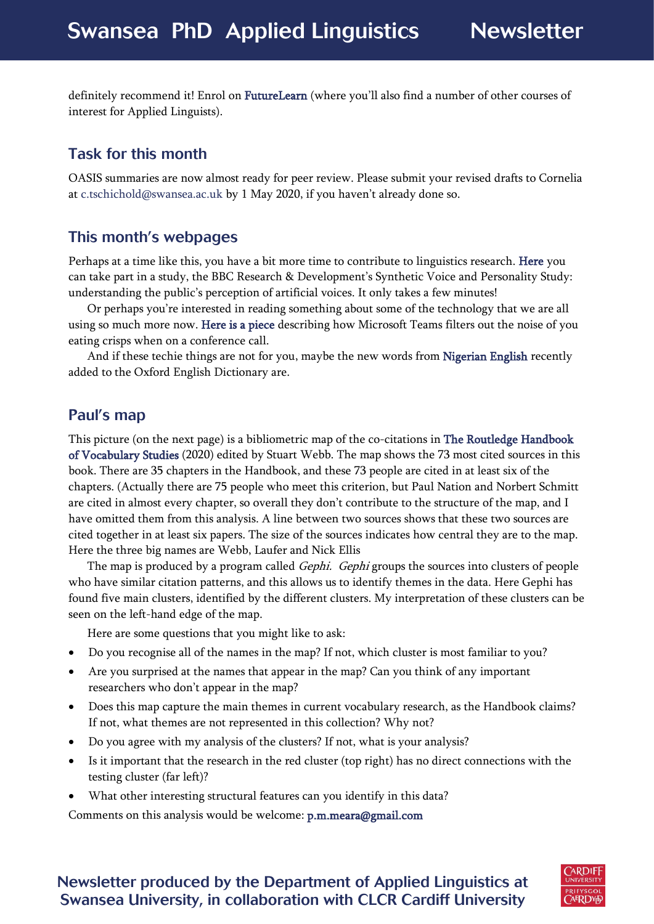definitely recommend it! Enrol on [FutureLearn](https://www.futurelearn.com/courses/understanding-dictionaries/3) (where you'll also find a number of other courses of interest for Applied Linguists).

# <span id="page-3-0"></span>Task for this month

OASIS summaries are now almost ready for peer review. Please submit your revised drafts to Cornelia at [c.tschichold@swansea.ac.uk](mailto:c.tschichold@swansea.ac.uk) by 1 May 2020, if you haven't already done so.

## <span id="page-3-1"></span>This month's webpages

Perhaps at a time like this, you have a bit more time to contribute to linguistics research. [Here](https://voicestudy.api.bbc.co.uk/) you can take part in a study, the BBC Research & Development's Synthetic Voice and Personality Study: understanding the public's perception of artificial voices. It only takes a few minutes!

Or perhaps you're interested in reading something about some of the technology that we are all using so much more now. [Here is a piece](https://www.cnet.com/news/microsoft-can-filter-out-the-sound-of-you-eating-potato-chips-on-a-conference-call/) describing how Microsoft Teams filters out the noise of you eating crisps when on a conference call.

And if these techie things are not for you, maybe the new words from [Nigerian English](https://www.bbc.co.uk/news/world-africa-51448295) recently added to the Oxford English Dictionary are.

## Paul's map

This picture (on the next page) is a bibliometric map of the co-citations in [The Routledge Handbook](https://www.routledge.com/The-Routledge-Handbook-of-Vocabulary-Studies-1st-Edition/Webb/p/book/9781138735729?gclid=Cj0KCQjw4dr0BRCxARIsAKUNjWSIa7ROHSs8CRlMTLET_0nnWM6i7DerGYqY5ay4YOcoWL0r7LnzhaEaAm4BEALw_wcB)  [of Vocabulary Studies](https://www.routledge.com/The-Routledge-Handbook-of-Vocabulary-Studies-1st-Edition/Webb/p/book/9781138735729?gclid=Cj0KCQjw4dr0BRCxARIsAKUNjWSIa7ROHSs8CRlMTLET_0nnWM6i7DerGYqY5ay4YOcoWL0r7LnzhaEaAm4BEALw_wcB) (2020) edited by Stuart Webb. The map shows the 73 most cited sources in this book. There are 35 chapters in the Handbook, and these 73 people are cited in at least six of the chapters. (Actually there are 75 people who meet this criterion, but Paul Nation and Norbert Schmitt are cited in almost every chapter, so overall they don't contribute to the structure of the map, and I have omitted them from this analysis. A line between two sources shows that these two sources are cited together in at least six papers. The size of the sources indicates how central they are to the map. Here the three big names are Webb, Laufer and Nick Ellis

The map is produced by a program called Gephi. Gephi groups the sources into clusters of people who have similar citation patterns, and this allows us to identify themes in the data. Here Gephi has found five main clusters, identified by the different clusters. My interpretation of these clusters can be seen on the left-hand edge of the map.

Here are some questions that you might like to ask:

- Do you recognise all of the names in the map? If not, which cluster is most familiar to you?
- Are you surprised at the names that appear in the map? Can you think of any important researchers who don't appear in the map?
- Does this map capture the main themes in current vocabulary research, as the Handbook claims? If not, what themes are not represented in this collection? Why not?
- Do you agree with my analysis of the clusters? If not, what is your analysis?
- Is it important that the research in the red cluster (top right) has no direct connections with the testing cluster (far left)?
- What other interesting structural features can you identify in this data?

Comments on this analysis would be welcome[: p.m.meara@gmail.com](mailto:p.m.meara@gmail.com)